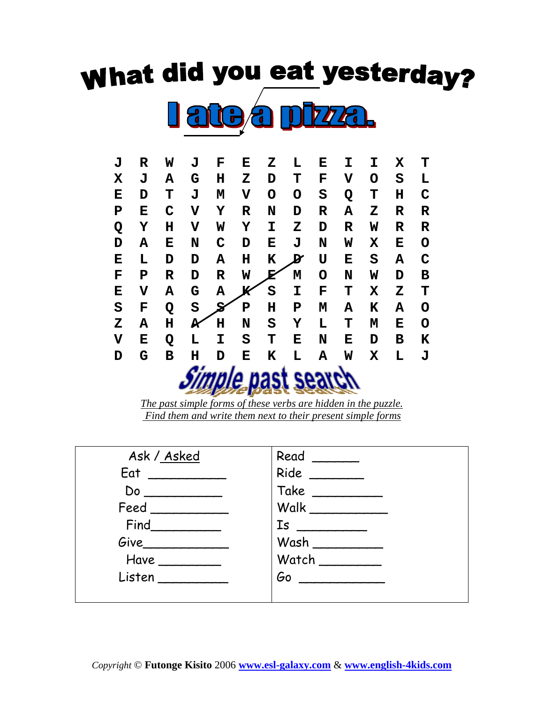## **What did you eat yesterday?**





*The past simple forms of these verbs are hidden in the puzzle. Find them and write them next to their present simple forms* 

| Ask / Asked                    |               |
|--------------------------------|---------------|
| Eat                            | Ride          |
| Do                             | Take ________ |
| Feed                           | Walk          |
| Find                           |               |
| Give                           | Wash          |
| Have                           | Watch         |
| Listen<br><u>and the state</u> | Gorgen        |
|                                |               |

*Copyright* © **Futonge Kisito** 2006 **www.esl-galaxy.com** & **www.english-4kids.com**